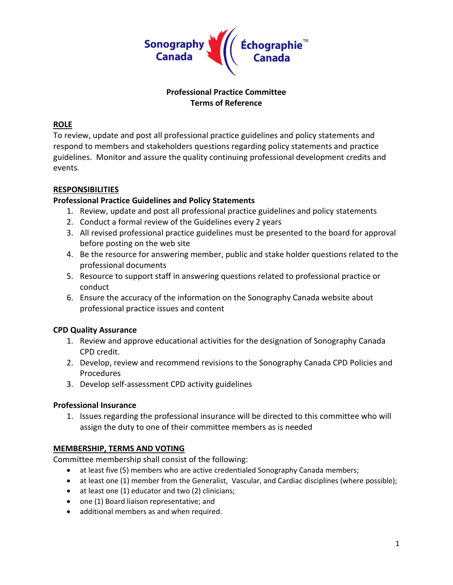

## **Professional Practice Committee Terms of Reference**

## **ROLE**

To review, update and post all professional practice guidelines and policy statements and respond to members and stakeholders questions regarding policy statements and practice guidelines. Monitor and assure the quality continuing professional development credits and events.

## **RESPONSIBILITIES**

## **Professional Practice Guidelines and Policy Statements**

- 1. Review, update and post all professional practice guidelines and policy statements
- 2. Conduct a formal review of the Guidelines every 2 years
- 3. All revised professional practice guidelines must be presented to the board for approval before posting on the web site
- 4. Be the resource for answering member, public and stake holder questions related to the professional documents
- 5. Resource to support staff in answering questions related to professional practice or conduct
- 6. Ensure the accuracy of the information on the Sonography Canada website about professional practice issues and content

#### **CPD Quality Assurance**

- 1. Review and approve educational activities for the designation of Sonography Canada CPD credit.
- 2. Develop, review and recommend revisions to the Sonography Canada CPD Policies and Procedures
- 3. Develop self-assessment CPD activity guidelines

#### **Professional Insurance**

1. Issues regarding the professional insurance will be directed to this committee who will assign the duty to one of their committee members as is needed

#### **MEMBERSHIP, TERMS AND VOTING**

Committee membership shall consist of the following:

- at least five (5) members who are active credentialed Sonography Canada members;
- at least one (1) member from the Generalist, Vascular, and Cardiac disciplines (where possible);
- at least one (1) educator and two (2) clinicians;
- one (1) Board liaison representative; and
- additional members as and when required.